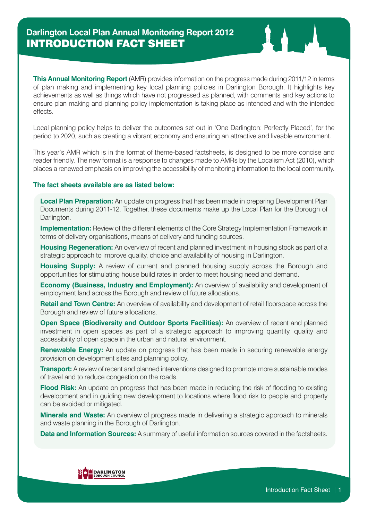**This Annual Monitoring Report** (AMR) provides information on the progress made during 2011/12 in terms of plan making and implementing key local planning policies in Darlington Borough. It highlights key achievements as well as things which have not progressed as planned, with comments and key actions to ensure plan making and planning policy implementation is taking place as intended and with the intended effects.

Local planning policy helps to deliver the outcomes set out in 'One Darlington: Perfectly Placed', for the period to 2020, such as creating a vibrant economy and ensuring an attractive and liveable environment.

This year's AMR which is in the format of theme-based factsheets, is designed to be more concise and reader friendly. The new format is a response to changes made to AMRs by the Localism Act (2010), which places a renewed emphasis on improving the accessibility of monitoring information to the local community.

## **The fact sheets available are as listed below:**

**Local Plan Preparation:** An update on progress that has been made in preparing Development Plan Documents during 2011-12. Together, these documents make up the Local Plan for the Borough of Darlington.

**Implementation:** Review of the different elements of the Core Strategy Implementation Framework in terms of delivery organisations, means of delivery and funding sources.

**Housing Regeneration:** An overview of recent and planned investment in housing stock as part of a strategic approach to improve quality, choice and availability of housing in Darlington.

**Housing Supply:** A review of current and planned housing supply across the Borough and opportunities for stimulating house build rates in order to meet housing need and demand.

**Economy (Business, Industry and Employment):** An overview of availability and development of employment land across the Borough and review of future allocations.

**Retail and Town Centre:** An overview of availability and development of retail floorspace across the Borough and review of future allocations.

**Open Space (Biodiversity and Outdoor Sports Facilities):** An overview of recent and planned investment in open spaces as part of a strategic approach to improving quantity, quality and accessibility of open space in the urban and natural environment.

**Renewable Energy:** An update on progress that has been made in securing renewable energy provision on development sites and planning policy.

**Transport:** A review of recent and planned interventions designed to promote more sustainable modes of travel and to reduce congestion on the roads.

**Flood Risk:** An update on progress that has been made in reducing the risk of flooding to existing development and in guiding new development to locations where flood risk to people and property can be avoided or mitigated.

**Minerals and Waste:** An overview of progress made in delivering a strategic approach to minerals and waste planning in the Borough of Darlington.

**Data and Information Sources:** A summary of useful information sources covered in the factsheets.

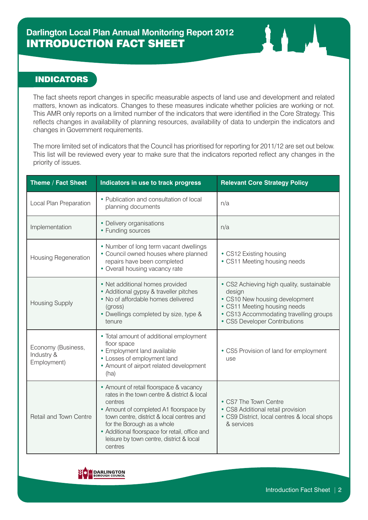## INDICATORS

The fact sheets report changes in specific measurable aspects of land use and development and related matters, known as indicators. Changes to these measures indicate whether policies are working or not. This AMR only reports on a limited number of the indicators that were identified in the Core Strategy. This reflects changes in availability of planning resources, availability of data to underpin the indicators and changes in Government requirements.

The more limited set of indicators that the Council has prioritised for reporting for 2011/12 are set out below. This list will be reviewed every year to make sure that the indicators reported reflect any changes in the priority of issues.

| Theme / Fact Sheet                              | Indicators in use to track progress                                                                                                                                                                                                                                                                                             | <b>Relevant Core Strategy Policy</b>                                                                                                                                                             |
|-------------------------------------------------|---------------------------------------------------------------------------------------------------------------------------------------------------------------------------------------------------------------------------------------------------------------------------------------------------------------------------------|--------------------------------------------------------------------------------------------------------------------------------------------------------------------------------------------------|
| Local Plan Preparation                          | • Publication and consultation of local<br>planning documents                                                                                                                                                                                                                                                                   | n/a                                                                                                                                                                                              |
| Implementation                                  | • Delivery organisations<br>• Funding sources                                                                                                                                                                                                                                                                                   | n/a                                                                                                                                                                                              |
| Housing Regeneration                            | • Number of long term vacant dwellings<br>• Council owned houses where planned<br>repairs have been completed<br>• Overall housing vacancy rate                                                                                                                                                                                 | • CS12 Existing housing<br>• CS11 Meeting housing needs                                                                                                                                          |
| <b>Housing Supply</b>                           | • Net additional homes provided<br>• Additional gypsy & traveller pitches<br>• No of affordable homes delivered<br>(gross)<br>• Dwellings completed by size, type &<br>tenure                                                                                                                                                   | • CS2 Achieving high quality, sustainable<br>design<br>• CS10 New housing development<br>• CS11 Meeting housing needs<br>• CS13 Accommodating travelling groups<br>• CS5 Developer Contributions |
| Economy (Business,<br>Industry &<br>Employment) | • Total amount of additional employment<br>floor space<br>• Employment land available<br>• Losses of employment land<br>• Amount of airport related development<br>(ha)                                                                                                                                                         | • CS5 Provision of land for employment<br>use                                                                                                                                                    |
| Retail and Town Centre                          | • Amount of retail floorspace & vacancy<br>rates in the town centre & district & local<br>centres<br>• Amount of completed A1 floorspace by<br>town centre, district & local centres and<br>for the Borough as a whole<br>• Additional floorspace for retail, office and<br>leisure by town centre, district & local<br>centres | • CS7 The Town Centre<br>• CS8 Additional retail provision<br>• CS9 District, local centres & local shops<br>& services                                                                          |